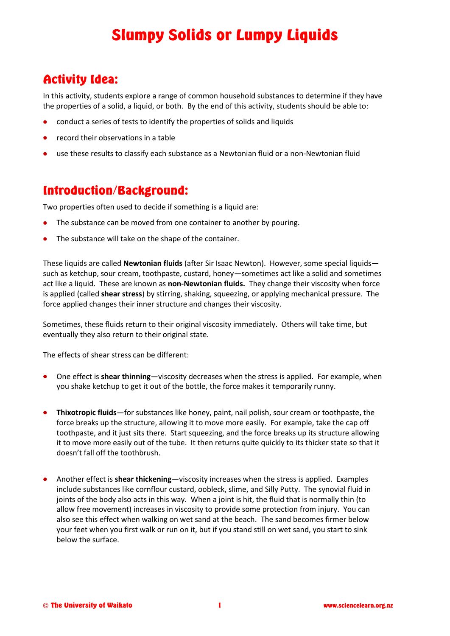## Slumpy Solids or Lumpy Liquids

#### Activity Idea:

In this activity, students explore a range of common household substances to determine if they have the properties of a solid, a liquid, or both. By the end of this activity, students should be able to:

- conduct a series of tests to identify the properties of solids and liquids
- record their observations in a table
- use these results to classify each substance as a Newtonian fluid or a non-Newtonian fluid

#### Introduction/Background:

Two properties often used to decide if something is a liquid are:

- The substance can be moved from one container to another by pouring.
- The substance will take on the shape of the container.

These liquids are called **Newtonian fluids** (after Sir Isaac Newton). However, some special liquids such as ketchup, sour cream, toothpaste, custard, honey—sometimes act like a solid and sometimes act like a liquid. These are known as **non-Newtonian fluids.** They change their viscosity when force is applied (called **shear stress**) by stirring, shaking, squeezing, or applying mechanical pressure. The force applied changes their inner structure and changes their viscosity.

Sometimes, these fluids return to their original viscosity immediately. Others will take time, but eventually they also return to their original state.

The effects of shear stress can be different:

- One effect is **shear thinning**—viscosity decreases when the stress is applied. For example, when you shake ketchup to get it out of the bottle, the force makes it temporarily runny.
- **Thixotropic fluids**—for substances like honey, paint, nail polish, sour cream or toothpaste, the force breaks up the structure, allowing it to move more easily. For example, take the cap off toothpaste, and it just sits there. Start squeezing, and the force breaks up its structure allowing it to move more easily out of the tube. It then returns quite quickly to its thicker state so that it doesn't fall off the toothbrush.
- Another effect is **shear thickening**—viscosity increases when the stress is applied. Examples include substances like cornflour custard, oobleck, slime, and Silly Putty. The synovial fluid in joints of the body also acts in this way. When a joint is hit, the fluid that is normally thin (to allow free movement) increases in viscosity to provide some protection from injury. You can also see this effect when walking on wet sand at the beach. The sand becomes firmer below your feet when you first walk or run on it, but if you stand still on wet sand, you start to sink below the surface.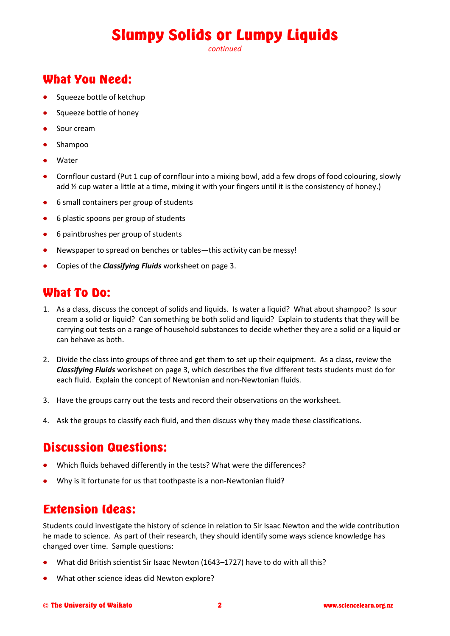# Slumpy Solids or Lumpy Liquids

*continued*

### What You Need:

- Squeeze bottle of ketchup
- Squeeze bottle of honey
- **•** Sour cream
- Shampoo
- Water
- Cornflour custard (Put 1 cup of cornflour into a mixing bowl, add a few drops of food colouring, slowly add  $\frac{1}{2}$  cup water a little at a time, mixing it with your fingers until it is the consistency of honey.)
- 6 small containers per group of students
- 6 plastic spoons per group of students
- 6 paintbrushes per group of students
- Newspaper to spread on benches or tables—this activity can be messy!
- Copies of the *Classifying Fluids* worksheet on page 3.

#### What To Do:

- 1. As a class, discuss the concept of solids and liquids. Is water a liquid? What about shampoo? Is sour cream a solid or liquid? Can something be both solid and liquid? Explain to students that they will be carrying out tests on a range of household substances to decide whether they are a solid or a liquid or can behave as both.
- 2. Divide the class into groups of three and get them to set up their equipment. As a class, review the *Classifying Fluids* worksheet on page 3, which describes the five different tests students must do for each fluid. Explain the concept of Newtonian and non-Newtonian fluids.
- 3. Have the groups carry out the tests and record their observations on the worksheet.
- 4. Ask the groups to classify each fluid, and then discuss why they made these classifications.

#### Discussion Questions:

- Which fluids behaved differently in the tests? What were the differences?
- Why is it fortunate for us that toothpaste is a non-Newtonian fluid?

#### Extension Ideas:

Students could investigate the history of science in relation to Sir Isaac Newton and the wide contribution he made to science. As part of their research, they should identify some ways science knowledge has changed over time. Sample questions:

- What did British scientist Sir Isaac Newton (1643–1727) have to do with all this?
- What other science ideas did Newton explore?